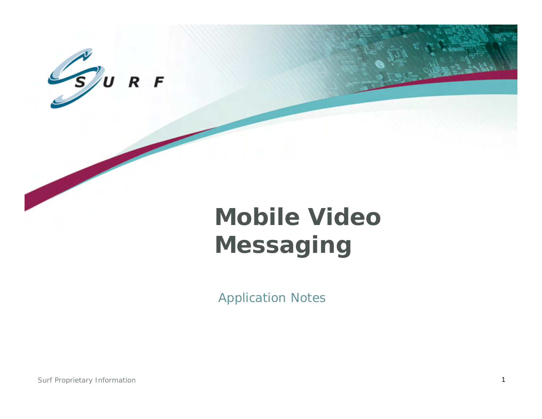

# **Mobile Video Messaging**

Application Notes

Surf Proprietary Information 1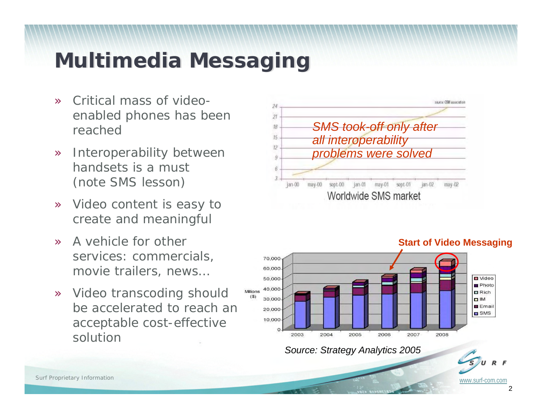# **Multimedia Messaging Multimedia Messaging**

- » Critical mass of videoenabled phones has been reached
- » Interoperability between handsets is a must (note SMS lesson)
- » Video content is easy to create and meaningful
- » A vehicle for other services: commercials, movie trailers, news…
- » Video transcoding should be accelerated to reach an acceptable cost-effective solution





#### *Source: Strategy Analytics 2005*

#### **Start of Video Messaging**

www.surf-com.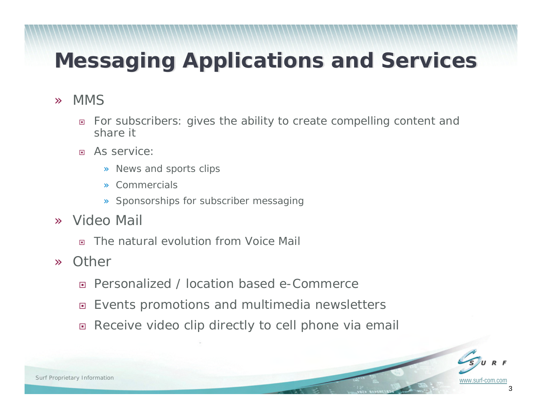# **Messaging Applications and Services Messaging Applications and Services**

#### »MMS

- $\Box$  For subscribers: gives the ability to create compelling content and share it
- $\Box$  As service:
	- » News and sports clips
	- » Commercials
	- » Sponsorships for subscriber messaging
- » Video Mail
	- $\Box$ The natural evolution from Voice Mail
- »**Other** 
	- $\Box$ Personalized / location based e-Commerce
	- $\Box$ Events promotions and multimedia newsletters
	- $\Box$ Receive video clip directly to cell phone via email

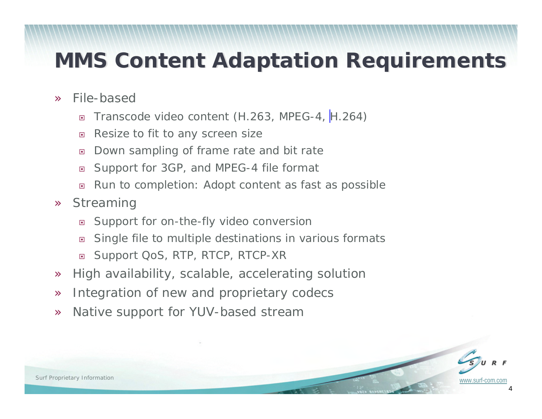### **MMS Content Adaptation Requirements**

- » File-based
	- $\Box$ Transcode video content (H.263, MPEG-4, [H.264\)](http://www.surf-com.com/media-processing-products/h264.html)
	- $\Box$ Resize to fit to any screen size
	- $\Box$ Down sampling of frame rate and bit rate
	- $\Box$ Support for 3GP, and MPEG-4 file format
	- $\Box$ Run to completion: Adopt content as fast as possible
- »**Streaming** 
	- $\Box$ Support for on-the-fly video conversion
	- $\Box$ Single file to multiple destinations in various formats
	- $\Box$ Support QoS, RTP, RTCP, RTCP-XR
- »High availability, scalable, accelerating solution
- »Integration of new and proprietary codecs
- »Native support for YUV-based stream

4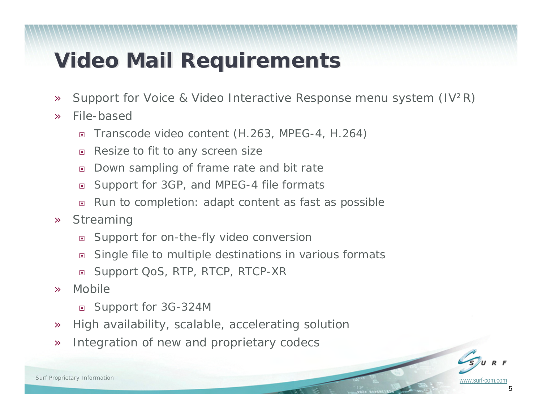### **Video Mail Requirements Video Mail Requirements**

- »Support for Voice & Video Interactive Response menu system (IV²R)
- » File-based
	- $\Box$ Transcode video content (H.263, MPEG-4, H.264)
	- $\Box$ Resize to fit to any screen size
	- $\Box$ Down sampling of frame rate and bit rate
	- $\Box$ Support for 3GP, and MPEG-4 file formats
	- $\Box$ Run to completion: adapt content as fast as possible
- » Streaming
	- $\Box$ Support for on-the-fly video conversion
	- $\Box$ Single file to multiple destinations in various formats
	- $\Box$ Support QoS, RTP, RTCP, RTCP-XR
- » Mobile
	- Support for 3G-324M
- »High availability, scalable, accelerating solution
- »Integration of new and proprietary codecs

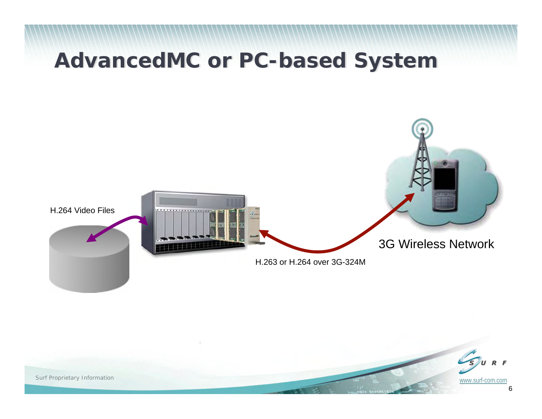### **AdvancedMC or PC-based System AdvancedMC or PC-based System**



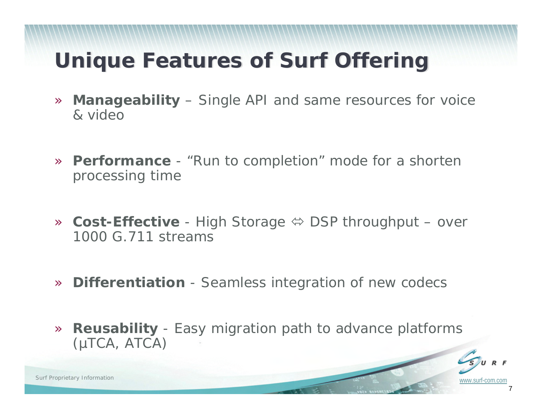# **Unique Features of Surf Offering Unique Features of Surf Offering**

- » **Manageability** – Single API and same resources for voice & video
- » **Performance** "Run to completion" mode for a shorten processing time
- **» Cost-Effective** High Storage  $\Leftrightarrow$  DSP throughput over 1000 G.711 streams
- » **Differentiation** Seamless integration of new codecs
- » **Reusability** - Easy migration path to advance platforms (µTCA, ATCA)



www.surf-com.com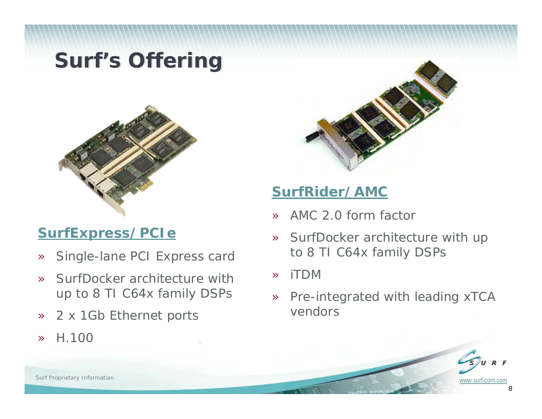### **Surf's Offering**



### **[SurfExpress/PCIe](http://www.surf-com.com/media-processing-products/pci-express-board.html)**

- »[Single-lane PCI Express card](http://www.surf-com.com/media-processing-products/pci-express-board.html)
- » SurfDocker architecture with up to 8 TI C64x family DSPs
- »2 x 1Gb Ethernet ports
- »H.100



### **[SurfRider/AMC](http://www.surf-com.com/media-processing-products/amc-board.html)**

- »AMC 2.0 form factor
- » SurfDocker architecture with up to 8 TI C64x family DSPs
- »iTDM
- » [Pre-integrated with leading xTCA](http://www.surf-com.com/media-processing-products/amc-board.html)  vendors

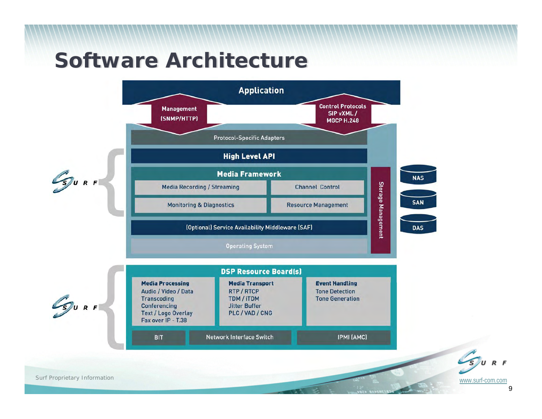### **Software Architecture Software Architecture**





www.surf-com.com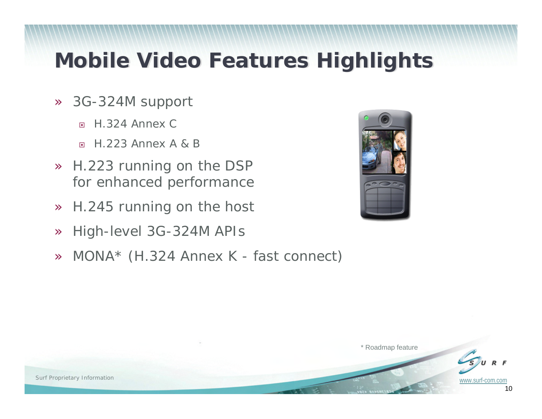### **Mobile Video Features Highlights Mobile Video Features Highlights**

- » 3G-324M support
	- $\Box$ H.324 Annex C
	- $\Box$ H.223 Annex A & B
- » H.223 running on the DSP for enhanced performance
- »H.245 running on the host
- »High-level 3G-324M APIs
- »MONA\* (H.324 Annex K - fast connect)





\* Roadmap feature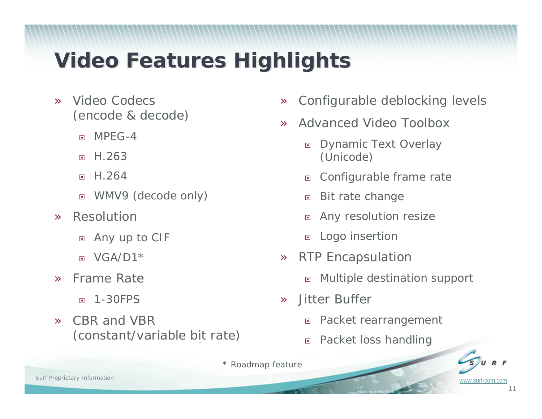# **Video Features Highlights Video Features Highlights**

- » Video Codecs (encode & decode)
	- $\Box$ MPEG-4
	- $\Box$ H.263
	- $\Box$ H.264
	- $\Box$ WMV9 (decode only)
- » Resolution
	- $\Box$ Any up to CIF
	- $\Box$  $VGA/D1*$
- » Frame Rate
	- $\Box$ 1-30FPS
- » CBR and VBR (constant/variable bit rate)
- »Configurable deblocking levels
- » Advanced Video Toolbox
	- $\Box$  Dynamic Text Overlay (Unicode)
	- $\Box$ Configurable frame rate
	- $\Box$ Bit rate change
	- $\Box$ Any resolution resize
	- $\Box$ Logo insertion
- » RTP Encapsulation
	- $\Box$ Multiple destination support
- » Jitter Buffer
	- $\Box$ Packet rearrangement
	- $\Box$ Packet loss handling

*\* Roadmap feature*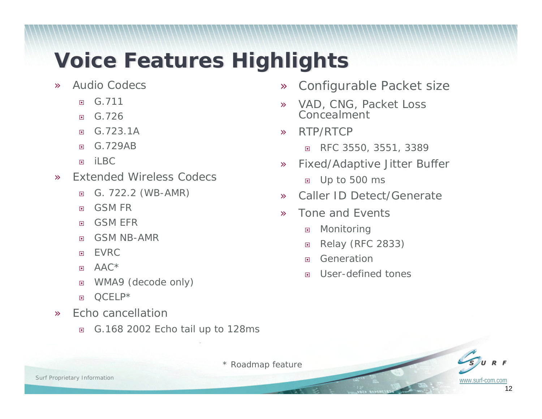# **Voice Features Highlights Voice Features Highlights**

- » Audio Codecs
	- $\Box$ G.711
	- $\Box$ G.726
	- $\Box$ G.723.1A
	- $\Box$ G.729AB
	- $\Box$ il BC
- » Extended Wireless Codecs
	- $\Box$ G. 722.2 (WB-AMR)
	- $\Box$ GSM FR
	- $\Box$ GSM EFR
	- 回 GSM NB-AMR
	- $\Box$ EVRC
	- $\Box$ AAC\*
	- 回 WMA9 (decode only)
	- $\Box$ QCELP\*
- » Echo cancellation
	- $\Box$ G.168 2002 Echo tail up to 128ms
- »Configurable Packet size
- » VAD, CNG, Packet Loss Concealment
- » RTP/RTCP
	- $\Box$ RFC 3550, 3551, 3389
- » Fixed/Adaptive Jitter Buffer
	- Up to 500 ms
- »Caller ID Detect/Generate
- » Tone and Events
	- $\Box$ Monitoring
	- $\Box$ Relay (RFC 2833)
	- $\Box$ Generation
	- $\Box$ User-defined tones

*\* Roadmap feature*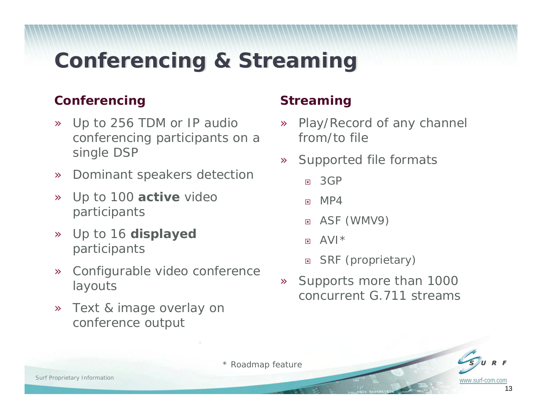### **Conferencing & Streaming Conferencing & Streaming**

#### **Conferencing**

- » Up to 256 TDM or IP audio conferencing participants on a single DSP
- »Dominant speakers detection
- » Up to 100 **active** video participants
- » Up to 16 **displayed**  participants
- » Configurable video conference layouts
- » Text & image overlay on conference output

### **Streaming**

- » Play/Record of any channel from/to file
- » Supported file formats
	- $\Box$ 3GP
	- $\Box$ M<sub>P4</sub>
	- ASF (WMV9)
	- **In** AVI\*
	- □ SRF (proprietary)
- » Supports more than 1000 concurrent G.711 streams

*\* Roadmap feature*

www.surf-com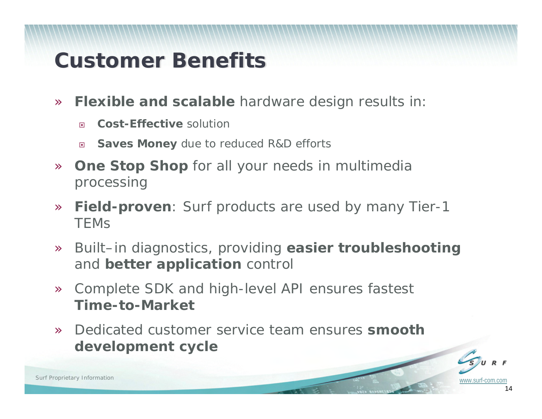### **Customer Benefits Customer Benefits**

- » **Flexible and scalable** hardware design results in:
	- $\Box$ **Cost-Effective** solution
	- $\Box$ **Saves Money** due to reduced R&D efforts
- » **One Stop Shop** for all your needs in multimedia processing
- » **Field-proven**: Surf products are used by many Tier-1 **TEMS**
- » Built–in diagnostics, providing **easier troubleshooting** and **better application** control
- » Complete SDK and high-level API ensures fastest **Time-to-Market**
- » Dedicated customer service team ensures **smooth development cycle**



14